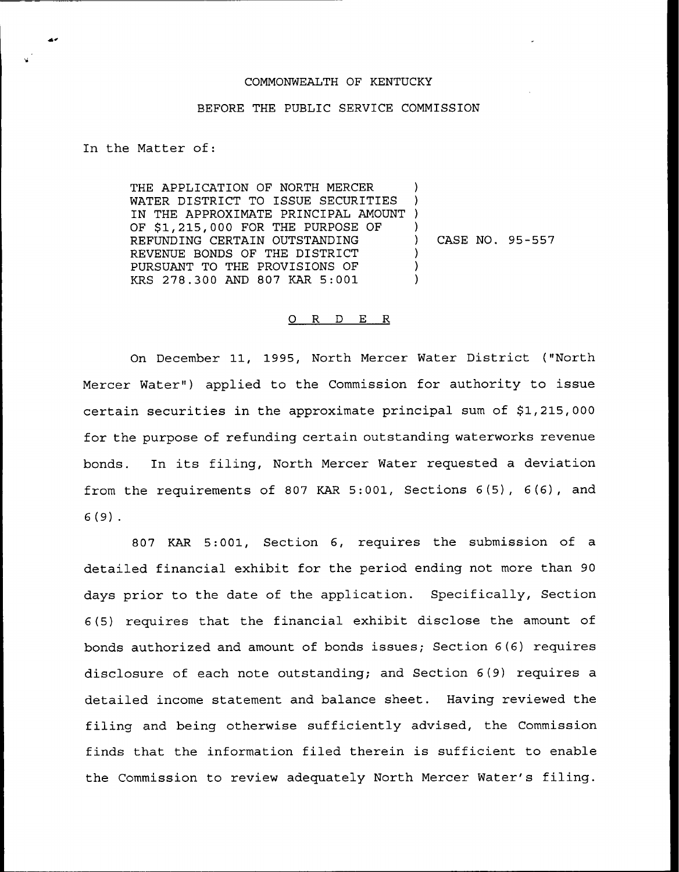## COMMONWEALTH OF KENTUCKY

## BEFORE THE PUBLIC SERVICE COMMISSION

In the Matter of:

THE APPLICATION OF NORTH MERCER WATER DISTRICT TO ISSUE SECURITIES IN THE APPROXIMATE PRINCIPAL AMOUNT ) OF \$1,215,000 FOR THE PURPOSE OF REFUNDING CERTAIN OUTSTANDING REVENUE BONDS OF THE DISTRICT PURSUANT TO THE PROVISIONS OF KRS 278.300 AND 807 KAR 5:001 ) ) ) ) CASE NO. 95-557 ) ) )

## 0 R <sup>D</sup> E R

On December 11, 1995, North Mercer Water District ("North Mercer Water") applied to the Commission for authority to issue certain securities in the approximate principal sum of \$1,215,000 for the purpose of refunding certain outstanding waterworks revenue bonds. In its filing, North Mercer Water requested <sup>a</sup> deviation from the requirements of 807 KAR 5:001, Sections 6(5), 6(6), and 6 (9) .

807 KAR 5:001, Section 6, requires the submissicn of a detailed financial exhibit for the period ending not more than 90 days prior to the date of the application. Specifically, Section 6(5) requires that the financial exhibit disclose the amount of bonds authorized and amount of bonds issues; Section 6(6) requires disclosure of each note outstanding; and Section 6(9) requires a detailed income statement and balance sheet. Having reviewed the filing and being otherwise sufficiently advised, the Commission finds that the information filed therein is sufficient to enable the Commission to review adequately North Mercer Water's filing.